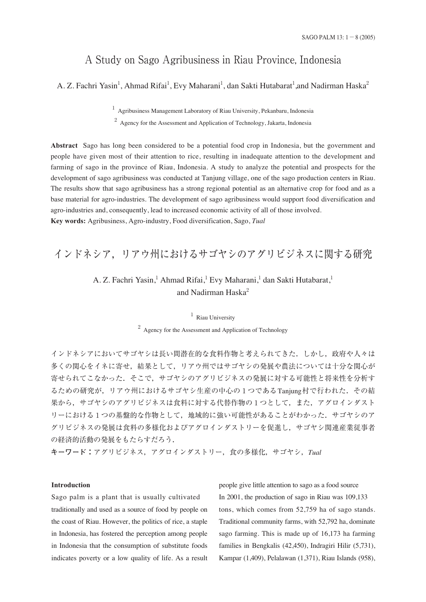# A Study on Sago Agribusiness in Riau Province, Indonesia

A. Z. Fachri Yasin<sup>1</sup>, Ahmad Rifai<sup>1</sup>, Evy Maharani<sup>1</sup>, dan Sakti Hutabarat<sup>1</sup>,and Nadirman Haska<sup>2</sup>

 $<sup>1</sup>$  Agribusiness Management Laboratory of Riau University, Pekanbaru, Indonesia</sup> <sup>2</sup> Agency for the Assessment and Application of Technology, Jakarta, Indonesia

**Abstract** Sago has long been considered to be a potential food crop in Indonesia, but the government and people have given most of their attention to rice, resulting in inadequate attention to the development and farming of sago in the province of Riau, Indonesia. A study to analyze the potential and prospects for the development of sago agribusiness was conducted at Tanjung village, one of the sago production centers in Riau. The results show that sago agribusiness has a strong regional potential as an alternative crop for food and as a base material for agro-industries. The development of sago agribusiness would support food diversification and agro-industries and, consequently, lead to increased economic activity of all of those involved. **Key words:** Agribusiness, Agro-industry, Food diversification, Sago, *Tual*

## インドネシア,リアウ州におけるサゴヤシのアグリビジネスに関する研究

## A. Z. Fachri Yasin,<sup>1</sup> Ahmad Rifai,<sup>1</sup> Evy Maharani,<sup>1</sup> dan Sakti Hutabarat,<sup>1</sup> and Nadirman Haska<sup>2</sup>

<sup>1</sup> Riau University <sup>2</sup> Agency for the Assessment and Application of Technology

インドネシアにおいてサゴヤシは長い間潜在的な食料作物と考えられてきた.しかし,政府や人々は 多くの関心をイネに寄せ,結果として,リアウ州ではサゴヤシの発展や農法については十分な関心が 寄せられてこなかった.そこで,サゴヤシのアグリビジネスの発展に対する可能性と将来性を分析す るための研究が,リアウ州におけるサゴヤシ生産の中心の1つであるTanjung村で行われた.その結 果から,サゴヤシのアグリビジネスは食料に対する代替作物の1つとして,また,アグロインダスト リーにおける1つの基盤的な作物として、地域的に強い可能性があることがわかった。サゴヤシのア グリビジネスの発展は食料の多様化およびアグロインダストリーを促進し,サゴヤシ関連産業従事者 の経済的活動の発展をもたらすだろう.

**キーワード:**アグリビジネス,アグロインダストリー,食の多様化,サゴヤシ,*Tual*

#### **Introduction**

Sago palm is a plant that is usually cultivated traditionally and used as a source of food by people on the coast of Riau. However, the politics of rice, a staple in Indonesia, has fostered the perception among people in Indonesia that the consumption of substitute foods indicates poverty or a low quality of life. As a result people give little attention to sago as a food source In 2001, the production of sago in Riau was 109,133 tons, which comes from 52,759 ha of sago stands. Traditional community farms, with 52,792 ha, dominate sago farming. This is made up of 16,173 ha farming families in Bengkalis (42,450), Indragiri Hilir (5,731), Kampar (1,409), Pelalawan (1,371), Riau Islands (958),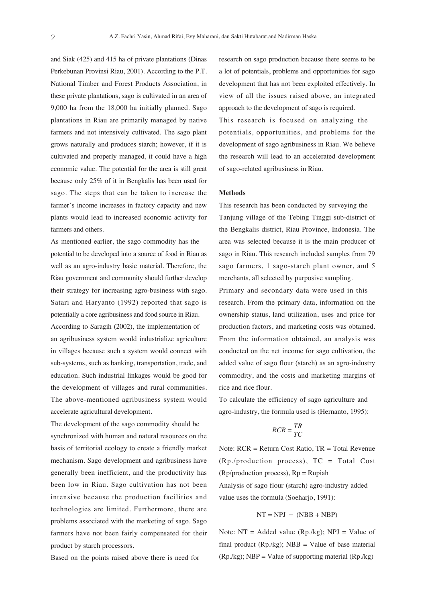and Siak (425) and 415 ha of private plantations (Dinas Perkebunan Provinsi Riau, 2001). According to the P.T. National Timber and Forest Products Association, in these private plantations, sago is cultivated in an area of 9,000 ha from the 18,000 ha initially planned. Sago plantations in Riau are primarily managed by native farmers and not intensively cultivated. The sago plant grows naturally and produces starch; however, if it is cultivated and properly managed, it could have a high economic value. The potential for the area is still great because only 25% of it in Bengkalis has been used for sago. The steps that can be taken to increase the farmer's income increases in factory capacity and new plants would lead to increased economic activity for farmers and others.

As mentioned earlier, the sago commodity has the potential to be developed into a source of food in Riau as well as an agro-industry basic material. Therefore, the Riau government and community should further develop their strategy for increasing agro-business with sago. Satari and Haryanto (1992) reported that sago is potentially a core agribusiness and food source in Riau. According to Saragih (2002), the implementation of an agribusiness system would industrialize agriculture in villages because such a system would connect with sub-systems, such as banking, transportation, trade, and education. Such industrial linkages would be good for the development of villages and rural communities. The above-mentioned agribusiness system would accelerate agricultural development.

The development of the sago commodity should be synchronized with human and natural resources on the basis of territorial ecology to create a friendly market mechanism. Sago development and agribusiness have generally been inefficient, and the productivity has been low in Riau. Sago cultivation has not been intensive because the production facilities and technologies are limited. Furthermore, there are problems associated with the marketing of sago. Sago farmers have not been fairly compensated for their product by starch processors.

Based on the points raised above there is need for

research on sago production because there seems to be a lot of potentials, problems and opportunities for sago development that has not been exploited effectively. In view of all the issues raised above, an integrated approach to the development of sago is required. This research is focused on analyzing the potentials, opportunities, and problems for the development of sago agribusiness in Riau. We believe the research will lead to an accelerated development of sago-related agribusiness in Riau.

#### **Methods**

This research has been conducted by surveying the Tanjung village of the Tebing Tinggi sub-district of the Bengkalis district, Riau Province, Indonesia. The area was selected because it is the main producer of sago in Riau. This research included samples from 79 sago farmers, 1 sago-starch plant owner, and 5 merchants, all selected by purposive sampling. Primary and secondary data were used in this research. From the primary data, information on the ownership status, land utilization, uses and price for production factors, and marketing costs was obtained. From the information obtained, an analysis was conducted on the net income for sago cultivation, the added value of sago flour (starch) as an agro-industry commodity, and the costs and marketing margins of rice and rice flour.

To calculate the efficiency of sago agriculture and agro-industry, the formula used is (Hernanto, 1995):

$$
RCR = \frac{TR}{TC}
$$

Note: RCR = Return Cost Ratio, TR = Total Revenue (Rp./production process), TC = Total Cost  $(Rp/production process)$ ,  $Rp = Rupiah$ Analysis of sago flour (starch) agro-industry added

value uses the formula (Soehario, 1991):

$$
NT = NPJ - (NBB + NBP)
$$

Note:  $NT = Added value (Rp./kg)$ ;  $NPI = Value of$ final product  $(Rp/kg)$ ; NBB = Value of base material  $(Rp./kg)$ ; NBP = Value of supporting material  $(Rp./kg)$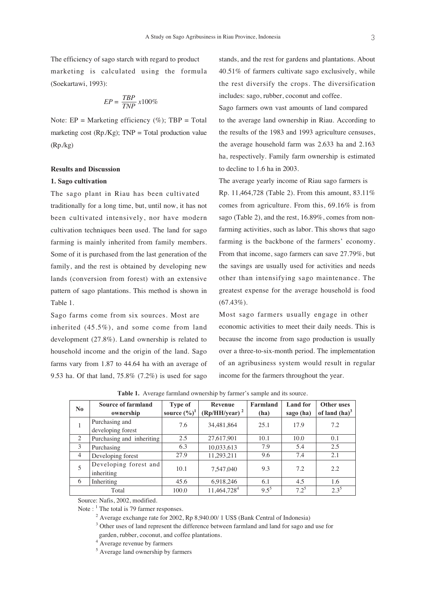The efficiency of sago starch with regard to product marketing is calculated using the formula (Soekartawi, 1993):

$$
EP = \frac{TBP}{TNP} \, x100\%
$$

Note:  $EP = \text{Marketing efficiency } (\%)$ ;  $TBP = \text{Total}$ marketing cost  $(Rp/Kg)$ ; TNP = Total production value (Rp./kg)

### **Results and Discussion**

#### **1. Sago cultivation**

The sago plant in Riau has been cultivated traditionally for a long time, but, until now, it has not been cultivated intensively, nor have modern cultivation techniques been used. The land for sago farming is mainly inherited from family members. Some of it is purchased from the last generation of the family, and the rest is obtained by developing new lands (conversion from forest) with an extensive pattern of sago plantations. This method is shown in Table 1.

Sago farms come from six sources. Most are inherited (45.5%), and some come from land development (27.8%). Land ownership is related to household income and the origin of the land. Sago farms vary from 1.87 to 44.64 ha with an average of 9.53 ha. Of that land, 75.8% (7.2%) is used for sago stands, and the rest for gardens and plantations. About 40.51% of farmers cultivate sago exclusively, while the rest diversify the crops. The diversification includes: sago, rubber, coconut and coffee.

Sago farmers own vast amounts of land compared to the average land ownership in Riau. According to the results of the 1983 and 1993 agriculture censuses, the average household farm was 2.633 ha and 2.163 ha, respectively. Family farm ownership is estimated to decline to 1.6 ha in 2003.

The average yearly income of Riau sago farmers is Rp. 11,464,728 (Table 2). From this amount, 83.11% comes from agriculture. From this, 69.16% is from sago (Table 2), and the rest, 16.89%, comes from nonfarming activities, such as labor. This shows that sago farming is the backbone of the farmers' economy. From that income, sago farmers can save 27.79%, but the savings are usually used for activities and needs other than intensifying sago maintenance. The greatest expense for the average household is food  $(67.43\%)$ .

Most sago farmers usually engage in other economic activities to meet their daily needs. This is because the income from sago production is usually over a three-to-six-month period. The implementation of an agribusiness system would result in regular income for the farmers throughout the year.

| N <sub>0</sub> | <b>Source of farmland</b> | <b>Type of</b>           | Revenue                 | Farmland | <b>Land</b> for | Other uses       |
|----------------|---------------------------|--------------------------|-------------------------|----------|-----------------|------------------|
|                | ownership                 | source $(\frac{6}{6})^1$ | $(Rp/HH/year)^2$        | (ha)     | sago (ha)       | of land $(ha)^3$ |
|                | Purchasing and            | 7.6                      | 34,481,864              | 25.1     | 17.9            | 7.2              |
|                | developing forest         |                          |                         |          |                 |                  |
| 2              | Purchasing and inheriting | 2.5                      | 27,617,901              | 10.1     | 10.0            | 0.1              |
| 3              | Purchasing                | 6.3                      | 10,033,613              | 7.9      | 5.4             | 2.5              |
| $\overline{4}$ | Developing forest         | 27.9                     | 11,293,211              | 9.6      | 7.4             | 2.1              |
| 5              | Developing forest and     | 10.1                     |                         | 9.3      | 7.2             | 2.2              |
|                | inheriting                |                          | 7,547,040               |          |                 |                  |
| 6              | Inheriting                | 45.6                     | 6,918,246               | 6.1      | 4.5             | 1.6              |
|                | Total                     | 100.0                    | 11,464,728 <sup>4</sup> | $9.5^5$  | $7.2^5$         | $2.3^{5}$        |

**Table 1.** Average farmland ownership by farmer's sample and its source.

Source: Nafis, 2002, modified.

Note :  $<sup>1</sup>$  The total is 79 farmer responses.</sup>

<sup>2</sup> Average exchange rate for 2002, Rp 8,940.00/ 1 US\$ (Bank Central of Indonesia) <sup>3</sup> Other uses of land represent the difference between farmland and land for sago and use for garden, rubber, coconut, and coffee plantations.

<sup>4</sup> Average revenue by farmers

<sup>5</sup> Average land ownership by farmers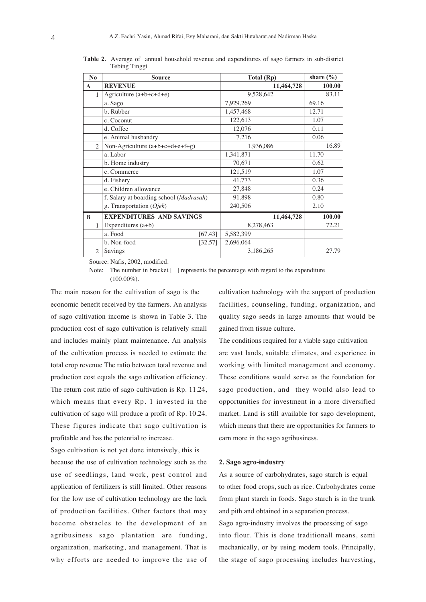| $\bf No$       | <b>Source</b>                                    | Total (Rp) | share $(\% )$ |
|----------------|--------------------------------------------------|------------|---------------|
| $\mathbf{A}$   | <b>REVENUE</b>                                   | 11,464,728 | 100.00        |
| 1              | Agriculture (a+b+c+d+e)                          | 9,528,642  | 83.11         |
|                | a. Sago                                          | 7,929,269  | 69.16         |
|                | b. Rubber                                        | 1,457,468  | 12.71         |
|                | c. Coconut                                       | 122,613    | 1.07          |
|                | d. Coffee                                        | 12,076     | 0.11          |
|                | e. Animal husbandry                              | 7,216      | 0.06          |
| $\overline{2}$ | Non-Agriculture (a+b+c+d+e+f+g)                  | 1,936,086  | 16.89         |
|                | a. Labor                                         | 1,341,871  | 11.70         |
|                | b. Home industry                                 | 70,671     | 0.62          |
|                | c. Commerce                                      | 121,519    | 1.07          |
|                | d. Fishery                                       | 41,773     | 0.36          |
|                | e. Children allowance                            | 27,848     | 0.24          |
|                | f. Salary at boarding school ( <i>Madrasah</i> ) | 91,898     | 0.80          |
|                | g. Transportation (Ojek)                         | 240,506    | 2.10          |
| B              | <b>EXPENDITURES AND SAVINGS</b>                  | 11,464,728 | 100.00        |
| 1              | Expenditures $(a+b)$                             | 8,278,463  | 72.21         |
|                | a. Food<br>[67.43]                               | 5,582,399  |               |
|                | b. Non-food<br>[32.57]                           | 2,696,064  |               |
| 2              | Savings                                          | 3,186,265  | 27.79         |

**Table 2.** Average of annual household revenue and expenditures of sago farmers in sub-district Tebing Tinggi

Source: Nafis, 2002, modified.

Note: The number in bracket [ ] represents the percentage with regard to the expenditure  $(100.00\%)$ .

The main reason for the cultivation of sago is the economic benefit received by the farmers. An analysis of sago cultivation income is shown in Table 3. The production cost of sago cultivation is relatively small and includes mainly plant maintenance. An analysis of the cultivation process is needed to estimate the total crop revenue The ratio between total revenue and production cost equals the sago cultivation efficiency. The return cost ratio of sago cultivation is Rp. 11.24, which means that every Rp. 1 invested in the cultivation of sago will produce a profit of Rp. 10.24. These figures indicate that sago cultivation is profitable and has the potential to increase.

Sago cultivation is not yet done intensively, this is because the use of cultivation technology such as the use of seedlings, land work, pest control and application of fertilizers is still limited. Other reasons for the low use of cultivation technology are the lack of production facilities. Other factors that may become obstacles to the development of an agribusiness sago plantation are funding, organization, marketing, and management. That is why efforts are needed to improve the use of

cultivation technology with the support of production facilities, counseling, funding, organization, and quality sago seeds in large amounts that would be gained from tissue culture.

The conditions required for a viable sago cultivation are vast lands, suitable climates, and experience in working with limited management and economy. These conditions would serve as the foundation for sago production, and they would also lead to opportunities for investment in a more diversified market. Land is still available for sago development, which means that there are opportunities for farmers to earn more in the sago agribusiness.

#### **2. Sago agro-industry**

As a source of carbohydrates, sago starch is equal to other food crops, such as rice. Carbohydrates come from plant starch in foods. Sago starch is in the trunk and pith and obtained in a separation process. Sago agro-industry involves the processing of sago into flour. This is done traditionall means, semi mechanically, or by using modern tools. Principally, the stage of sago processing includes harvesting,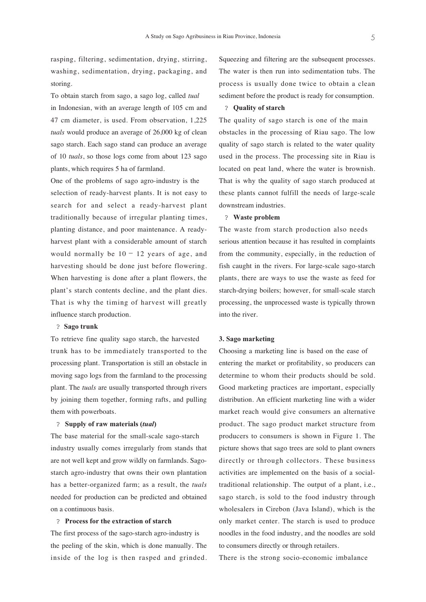rasping, filtering, sedimentation, drying, stirring, washing, sedimentation, drying, packaging, and storing.

To obtain starch from sago, a sago log, called *tual* in Indonesian, with an average length of 105 cm and 47 cm diameter, is used. From observation, 1,225 *tuals* would produce an average of 26,000 kg of clean sago starch. Each sago stand can produce an average of 10 *tuals*, so those logs come from about 123 sago plants, which requires 5 ha of farmland.

One of the problems of sago agro-industry is the selection of ready-harvest plants. It is not easy to search for and select a ready-harvest plant traditionally because of irregular planting times, planting distance, and poor maintenance. A readyharvest plant with a considerable amount of starch would normally be  $10 - 12$  years of age, and harvesting should be done just before flowering. When harvesting is done after a plant flowers, the plant's starch contents decline, and the plant dies. That is why the timing of harvest will greatly influence starch production.

#### ? **Sago trunk**

To retrieve fine quality sago starch, the harvested trunk has to be immediately transported to the processing plant. Transportation is still an obstacle in moving sago logs from the farmland to the processing plant. The *tuals* are usually transported through rivers by joining them together, forming rafts, and pulling them with powerboats.

#### ? **Supply of raw materials (***tual***)**

The base material for the small-scale sago-starch industry usually comes irregularly from stands that are not well kept and grow wildly on farmlands. Sagostarch agro-industry that owns their own plantation has a better-organized farm; as a result, the *tuals* needed for production can be predicted and obtained on a continuous basis.

#### ? **Process for the extraction of starch**

The first process of the sago-starch agro-industry is the peeling of the skin, which is done manually. The inside of the log is then rasped and grinded. Squeezing and filtering are the subsequent processes. The water is then run into sedimentation tubs. The process is usually done twice to obtain a clean sediment before the product is ready for consumption.

#### ? **Quality of starch**

The quality of sago starch is one of the main obstacles in the processing of Riau sago. The low quality of sago starch is related to the water quality used in the process. The processing site in Riau is located on peat land, where the water is brownish. That is why the quality of sago starch produced at these plants cannot fulfill the needs of large-scale downstream industries.

### ? **Waste problem**

The waste from starch production also needs serious attention because it has resulted in complaints from the community, especially, in the reduction of fish caught in the rivers. For large-scale sago-starch plants, there are ways to use the waste as feed for starch-drying boilers; however, for small-scale starch processing, the unprocessed waste is typically thrown into the river.

#### **3. Sago marketing**

Choosing a marketing line is based on the ease of entering the market or profitability, so producers can determine to whom their products should be sold. Good marketing practices are important, especially distribution. An efficient marketing line with a wider market reach would give consumers an alternative product. The sago product market structure from producers to consumers is shown in Figure 1. The picture shows that sago trees are sold to plant owners directly or through collectors. These business activities are implemented on the basis of a socialtraditional relationship. The output of a plant, i.e., sago starch, is sold to the food industry through wholesalers in Cirebon (Java Island), which is the only market center. The starch is used to produce noodles in the food industry, and the noodles are sold to consumers directly or through retailers.

There is the strong socio-economic imbalance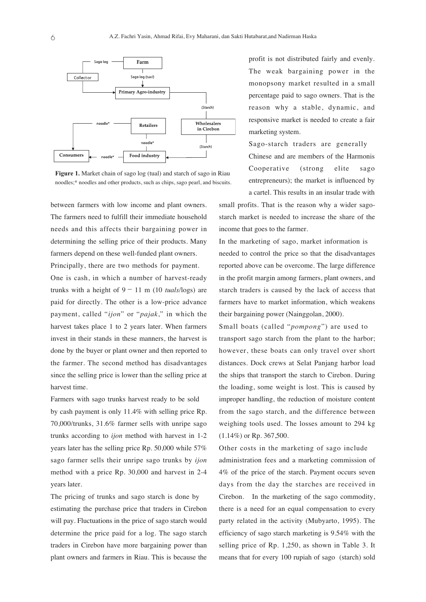

**Figure 1.** Market chain of sago log (tual) and starch of sago in Riau noodles;\* noodles and other products, such as chips, sago pearl, and biscuits.

between farmers with low income and plant owners. The farmers need to fulfill their immediate household needs and this affects their bargaining power in determining the selling price of their products. Many farmers depend on these well-funded plant owners.

Principally, there are two methods for payment.

One is cash, in which a number of harvest-ready trunks with a height of 9− 11 m (10 *tuals*/logs) are paid for directly. The other is a low-price advance payment, called "*ijon*" or "*pajak*," in which the harvest takes place 1 to 2 years later. When farmers invest in their stands in these manners, the harvest is done by the buyer or plant owner and then reported to the farmer. The second method has disadvantages since the selling price is lower than the selling price at harvest time.

Farmers with sago trunks harvest ready to be sold by cash payment is only 11.4% with selling price Rp. 70,000/trunks, 31.6% farmer sells with unripe sago trunks according to *ijon* method with harvest in 1-2 years later has the selling price Rp. 50,000 while 57% sago farmer sells their unripe sago trunks by *ijon* method with a price Rp. 30,000 and harvest in 2-4 years later.

The pricing of trunks and sago starch is done by estimating the purchase price that traders in Cirebon will pay. Fluctuations in the price of sago starch would determine the price paid for a log. The sago starch traders in Cirebon have more bargaining power than plant owners and farmers in Riau. This is because the profit is not distributed fairly and evenly. The weak bargaining power in the monopsony market resulted in a small percentage paid to sago owners. That is the reason why a stable, dynamic, and responsive market is needed to create a fair marketing system.

Sago-starch traders are generally Chinese and are members of the Harmonis Cooperative (strong elite sago entrepreneurs); the market is influenced by a cartel. This results in an insular trade with

small profits. That is the reason why a wider sagostarch market is needed to increase the share of the income that goes to the farmer.

In the marketing of sago, market information is needed to control the price so that the disadvantages reported above can be overcome. The large difference in the profit margin among farmers, plant owners, and starch traders is caused by the lack of access that farmers have to market information, which weakens their bargaining power (Nainggolan, 2000).

Small boats (called "*pompong*") are used to transport sago starch from the plant to the harbor; however, these boats can only travel over short distances. Dock crews at Selat Panjang harbor load the ships that transport the starch to Cirebon. During the loading, some weight is lost. This is caused by improper handling, the reduction of moisture content from the sago starch, and the difference between weighing tools used. The losses amount to 294 kg (1.14%) or Rp. 367,500.

Other costs in the marketing of sago include administration fees and a marketing commission of 4% of the price of the starch. Payment occurs seven days from the day the starches are received in Cirebon. In the marketing of the sago commodity, there is a need for an equal compensation to every party related in the activity (Mubyarto, 1995). The efficiency of sago starch marketing is 9.54% with the selling price of Rp. 1,250, as shown in Table 3. It means that for every 100 rupiah of sago (starch) sold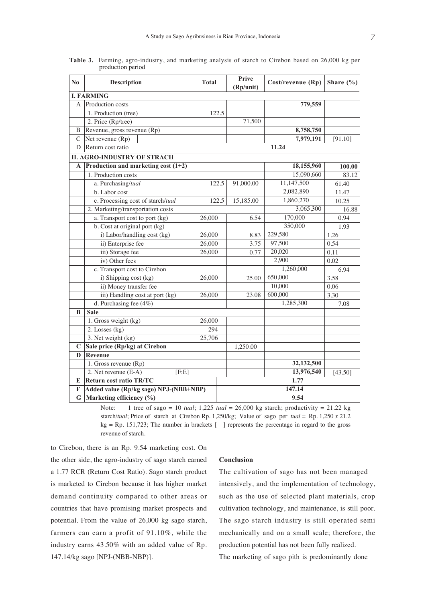| N <sub>0</sub> | <b>Description</b>                      | <b>Total</b> |       | Prive<br>(Rp/unit) | Cost/revenue (Rp) | Share $(\% )$ |  |  |  |
|----------------|-----------------------------------------|--------------|-------|--------------------|-------------------|---------------|--|--|--|
|                | <b>I. FARMING</b>                       |              |       |                    |                   |               |  |  |  |
| A              | Production costs                        |              |       |                    | 779,559           |               |  |  |  |
|                | 1. Production (tree)                    |              | 122.5 |                    |                   |               |  |  |  |
|                | 2. Price (Rp/tree)                      |              |       | 71,500             |                   |               |  |  |  |
| B              | Revenue, gross revenue (Rp)             |              |       |                    | 8,758,750         |               |  |  |  |
| $\mathcal{C}$  | Net revenue $(Rp)$                      |              |       |                    | 7,979,191         | [91.10]       |  |  |  |
| D              | Return cost ratio                       |              |       |                    | 11.24             |               |  |  |  |
|                | <b>II. AGRO-INDUSTRY OF STRACH</b>      |              |       |                    |                   |               |  |  |  |
|                | A Production and marketing cost $(1+2)$ |              |       |                    | 18,155,960        | 100.00        |  |  |  |
|                | 1. Production costs                     |              |       |                    | 15,090,660        | 83.12         |  |  |  |
|                | a. Purchasing/tual                      |              | 122.5 | 91,000.00          | 11,147,500        | 61.40         |  |  |  |
|                | b. Labor cost                           |              |       |                    | 2,082,890         | 11.47         |  |  |  |
|                | c. Processing cost of starch/tual       |              | 122.5 | 15,185.00          | 1,860,270         | 10.25         |  |  |  |
|                | 2. Marketing/transportation costs       |              |       |                    | 3,065,300         | 16.88         |  |  |  |
|                | a. Transport cost to port (kg)          | 26,000       |       | 6.54               | 170,000           | 0.94          |  |  |  |
|                | b. Cost at original port (kg)           |              |       |                    | 350,000           | 1.93          |  |  |  |
|                | i) Labor/handling cost (kg)             | 26,000       |       | 8.83               | 229,580           | 1.26          |  |  |  |
|                | ii) Enterprise fee                      | 26,000       |       | 3.75               | 97,500            | 0.54          |  |  |  |
|                | iii) Storage fee                        | 26,000       |       | 0.77               | 20,020            | 0.11          |  |  |  |
|                | iv) Other fees                          |              |       |                    | 2,900             | 0.02          |  |  |  |
|                | c. Transport cost to Cirebon            |              |       |                    | 1,260,000         | 6.94          |  |  |  |
|                | i) Shipping cost (kg)                   | 26,000       |       | 25.00              | 650,000           | 3.58          |  |  |  |
|                | ii) Money transfer fee                  |              |       |                    | 10,000            | 0.06          |  |  |  |
|                | iii) Handling cost at port (kg)         | 26,000       |       | 23.08              | 600,000           | 3.30          |  |  |  |
|                | d. Purchasing fee (4%)                  |              |       |                    | 1,285,300         | 7.08          |  |  |  |
| B              | <b>Sale</b>                             |              |       |                    |                   |               |  |  |  |
|                | 1. Gross weight (kg)                    | 26,000       |       |                    |                   |               |  |  |  |
|                | 2. Losses (kg)                          | 294          |       |                    |                   |               |  |  |  |
|                | 3. Net weight (kg)                      | 25,706       |       |                    |                   |               |  |  |  |
| $\mathbf C$    | Sale price (Rp/kg) at Cirebon           |              |       | 1,250.00           |                   |               |  |  |  |
| D              | Revenue                                 |              |       |                    |                   |               |  |  |  |
|                | 1. Gross revenue (Rp)                   |              |       |                    | 32,132,500        |               |  |  |  |
|                | 2. Net revenue (E-A)<br>[F:E]           |              |       |                    | 13,976,540        | [43.50]       |  |  |  |
| E              | 1.77<br><b>Return cost ratio TR/TC</b>  |              |       |                    |                   |               |  |  |  |
| F              | Added value (Rp/kg sago) NPJ-(NBB+NBP)  |              |       | 147.14             |                   |               |  |  |  |
| G              | Marketing efficiency (%)                |              |       | 9.54               |                   |               |  |  |  |

**Table 3.** Farming, agro-industry, and marketing analysis of starch to Cirebon based on 26,000 kg per production period

Note: 1 tree of sago = 10 *tual*; 1,225 *tual* = 26,000 kg starch; productivity = 21.22 kg starch/*tual*; Price of starch at Cirebon Rp. 1,250/kg; Value of sago per *tual* = Rp. 1,250 *x* 21.2 kg = Rp. 151,723; The number in brackets [ ] represents the percentage in regard to the gross revenue of starch.

to Cirebon, there is an Rp. 9.54 marketing cost. On the other side, the agro-industry of sago starch earned a 1.77 RCR (Return Cost Ratio). Sago starch product is marketed to Cirebon because it has higher market demand continuity compared to other areas or countries that have promising market prospects and potential. From the value of 26,000 kg sago starch, farmers can earn a profit of 91.10%, while the industry earns 43.50% with an added value of Rp. 147.14/kg sago [NPJ-(NBB-NBP)].

#### **Conclusion**

The cultivation of sago has not been managed intensively, and the implementation of technology, such as the use of selected plant materials, crop cultivation technology, and maintenance, is still poor. The sago starch industry is still operated semi mechanically and on a small scale; therefore, the production potential has not been fully realized. The marketing of sago pith is predominantly done